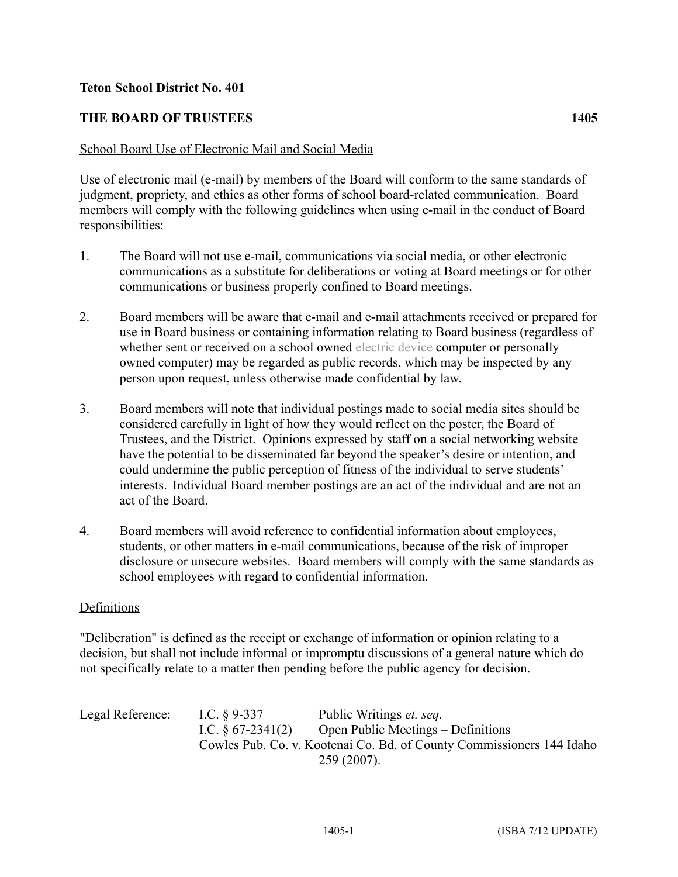## **Teton School District No. 401**

## **THE BOARD OF TRUSTEES 1405**

## School Board Use of Electronic Mail and Social Media

Use of electronic mail (e-mail) by members of the Board will conform to the same standards of judgment, propriety, and ethics as other forms of school board-related communication. Board members will comply with the following guidelines when using e-mail in the conduct of Board responsibilities:

- 1. The Board will not use e-mail, communications via social media, or other electronic communications as a substitute for deliberations or voting at Board meetings or for other communications or business properly confined to Board meetings.
- 2. Board members will be aware that e-mail and e-mail attachments received or prepared for use in Board business or containing information relating to Board business (regardless of whether sent or received on a school owned electric device computer or personally owned computer) may be regarded as public records, which may be inspected by any person upon request, unless otherwise made confidential by law.
- 3. Board members will note that individual postings made to social media sites should be considered carefully in light of how they would reflect on the poster, the Board of Trustees, and the District. Opinions expressed by staff on a social networking website have the potential to be disseminated far beyond the speaker's desire or intention, and could undermine the public perception of fitness of the individual to serve students' interests. Individual Board member postings are an act of the individual and are not an act of the Board.
- 4. Board members will avoid reference to confidential information about employees, students, or other matters in e-mail communications, because of the risk of improper disclosure or unsecure websites. Board members will comply with the same standards as school employees with regard to confidential information.

## Definitions

"Deliberation" is defined as the receipt or exchange of information or opinion relating to a decision, but shall not include informal or impromptu discussions of a general nature which do not specifically relate to a matter then pending before the public agency for decision.

Legal Reference: I.C. § 9-337 Public Writings *et. seq.* I.C.  $\S 67-2341(2)$  Open Public Meetings – Definitions Cowles Pub. Co. v. Kootenai Co. Bd. of County Commissioners 144 Idaho 259 (2007).